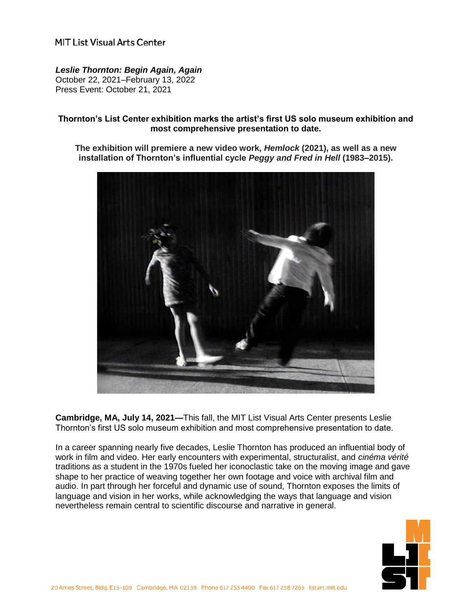# MIT List Visual Arts Center

### *Leslie Thornton: Begin Again, Again*

October 22, 2021–February 13, 2022 Press Event: October 21, 2021

### **Thornton's List Center exhibition marks the artist's first US solo museum exhibition and most comprehensive presentation to date.**

**The exhibition will premiere a new video work,** *Hemlock* **(2021), as well as a new installation of Thornton's influential cycle** *Peggy and Fred in Hell* **(1983–2015).**



**Cambridge, MA, July 14, 2021—**This fall, the MIT List Visual Arts Center presents Leslie Thornton's first US solo museum exhibition and most comprehensive presentation to date.

In a career spanning nearly five decades, Leslie Thornton has produced an influential body of work in film and video. Her early encounters with experimental, structuralist, and *cinéma vérité* traditions as a student in the 1970s fueled her iconoclastic take on the moving image and gave shape to her practice of weaving together her own footage and voice with archival film and audio. In part through her forceful and dynamic use of sound, Thornton exposes the limits of language and vision in her works, while acknowledging the ways that language and vision nevertheless remain central to scientific discourse and narrative in general.

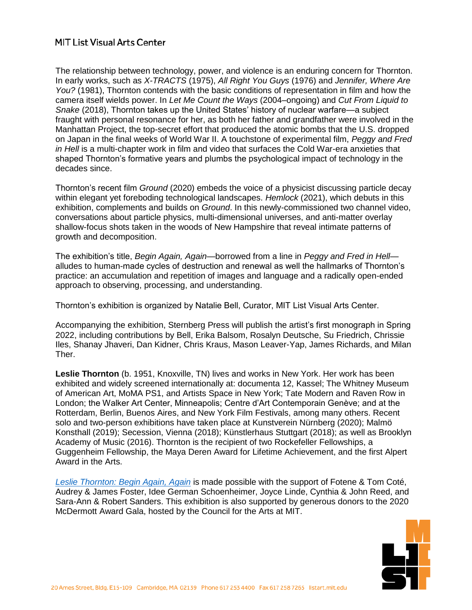# **MIT List Visual Arts Center**

The relationship between technology, power, and violence is an enduring concern for Thornton. In early works, such as *X-TRACTS* (1975), *All Right You Guys* (1976) and *Jennifer, Where Are You?* (1981), Thornton contends with the basic conditions of representation in film and how the camera itself wields power. In *Let Me Count the Ways* (2004–ongoing) and *Cut From Liquid to Snake* (2018), Thornton takes up the United States' history of nuclear warfare—a subject fraught with personal resonance for her, as both her father and grandfather were involved in the Manhattan Project, the top-secret effort that produced the atomic bombs that the U.S. dropped on Japan in the final weeks of World War II. A touchstone of experimental film, *Peggy and Fred in Hell* is a multi-chapter work in film and video that surfaces the Cold War-era anxieties that shaped Thornton's formative years and plumbs the psychological impact of technology in the decades since.

Thornton's recent film *Ground* (2020) embeds the voice of a physicist discussing particle decay within elegant yet foreboding technological landscapes. *Hemlock* (2021), which debuts in this exhibition, complements and builds on *Ground*. In this newly-commissioned two channel video, conversations about particle physics, multi-dimensional universes, and anti-matter overlay shallow-focus shots taken in the woods of New Hampshire that reveal intimate patterns of growth and decomposition.

The exhibition's title, *Begin Again, Again*—borrowed from a line in *Peggy and Fred in Hell* alludes to human-made cycles of destruction and renewal as well the hallmarks of Thornton's practice: an accumulation and repetition of images and language and a radically open-ended approach to observing, processing, and understanding.

Thornton's exhibition is organized by Natalie Bell, Curator, MIT List Visual Arts Center.

Accompanying the exhibition, Sternberg Press will publish the artist's first monograph in Spring 2022, including contributions by Bell, Erika Balsom, Rosalyn Deutsche, Su Friedrich, Chrissie Iles, Shanay Jhaveri, Dan Kidner, Chris Kraus, Mason Leaver-Yap, James Richards, and Milan Ther.

**Leslie Thornton** (b. 1951, Knoxville, TN) lives and works in New York. Her work has been exhibited and widely screened internationally at: documenta 12, Kassel; The Whitney Museum of American Art, MoMA PS1, and Artists Space in New York; Tate Modern and Raven Row in London; the Walker Art Center, Minneapolis; Centre d'Art Contemporain Genève; and at the Rotterdam, Berlin, Buenos Aires, and New York Film Festivals, among many others. Recent solo and two-person exhibitions have taken place at Kunstverein Nürnberg (2020); Malmö Konsthall (2019); Secession, Vienna (2018); Künstlerhaus Stuttgart (2018); as well as Brooklyn Academy of Music (2016). Thornton is the recipient of two Rockefeller Fellowships, a Guggenheim Fellowship, the Maya Deren Award for Lifetime Achievement, and the first Alpert Award in the Arts.

*Leslie Thornton: [Begin Again, Again](https://listart.mit.edu/exhibitions/leslie-thornton)* is made possible with the support of Fotene & Tom Coté, Audrey & James Foster, Idee German Schoenheimer, Joyce Linde, Cynthia & John Reed, and Sara-Ann & Robert Sanders. This exhibition is also supported by generous donors to the 2020 McDermott Award Gala, hosted by the Council for the Arts at MIT.